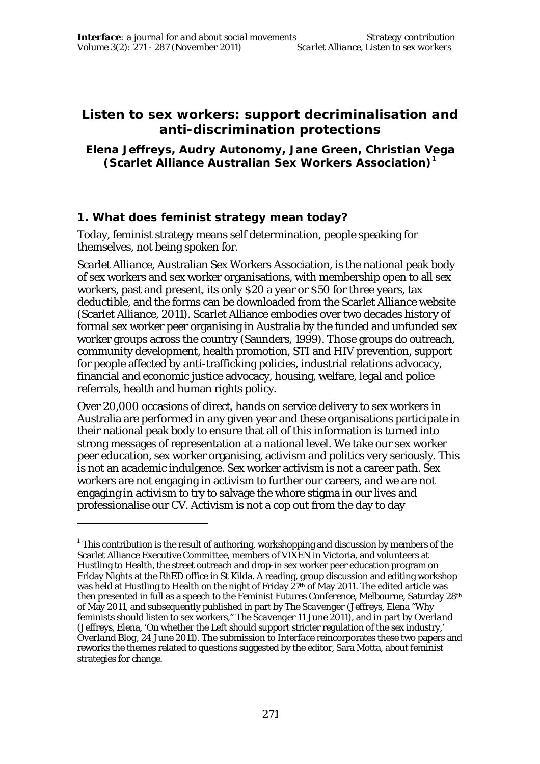# **Listen to sex workers: support decriminalisation and anti-discrimination protections**

#### **Elena Jeffreys, Audry Autonomy, Jane Green, Christian Vega (Scarlet Alliance Australian Sex Workers Association)<sup>1</sup>**

# **1. What does feminist strategy mean today?**

 $\overline{a}$ 

Today, feminist strategy means self determination, people speaking for themselves, not being spoken for.

Scarlet Alliance, Australian Sex Workers Association, is the national peak body of sex workers and sex worker organisations, with membership open to all sex workers, past and present, its only \$20 a year or \$50 for three years, tax deductible, and the forms can be downloaded from the Scarlet Alliance website (Scarlet Alliance, 2011). Scarlet Alliance embodies over two decades history of formal sex worker peer organising in Australia by the funded and unfunded sex worker groups across the country (Saunders, 1999). Those groups do outreach, community development, health promotion, STI and HIV prevention, support for people affected by anti-trafficking policies, industrial relations advocacy, financial and economic justice advocacy, housing, welfare, legal and police referrals, health and human rights policy.

Over 20,000 occasions of direct, hands on service delivery to sex workers in Australia are performed in any given year and these organisations participate in their national peak body to ensure that all of this information is turned into strong messages of representation at a national level. We take our sex worker peer education, sex worker organising, activism and politics very seriously. This is not an academic indulgence. Sex worker activism is not a career path. Sex workers are not engaging in activism to further our careers, and we are not engaging in activism to try to salvage the whore stigma in our lives and professionalise our CV. Activism is not a cop out from the day to day

 $^{\rm 1}$  This contribution is the result of authoring, workshopping and discussion by members of the Scarlet Alliance Executive Committee, members of VIXEN in Victoria, and volunteers at Hustling to Health, the street outreach and drop-in sex worker peer education program on Friday Nights at the RhED office in St Kilda. A reading, group discussion and editing workshop was held at Hustling to Health on the night of Friday 27<sup>th</sup> of May 2011. The edited article was then presented in full as a speech to the *Feminist Futures Conference*, Melbourne, Saturday 28th of May 2011, and subsequently published in part by *The Scavenger* (Jeffreys, Elena "Why feminists should listen to sex workers," *The Scavenger* 11 June 2011), and in part by *Overland* (Jeffreys, Elena, 'On whether the Left should support stricter regulation of the sex industry,' *Overland Blog,* 24 June 2011). The submission to *Interface* reincorporates these two papers and reworks the themes related to questions suggested by the editor, Sara Motta, about feminist strategies for change.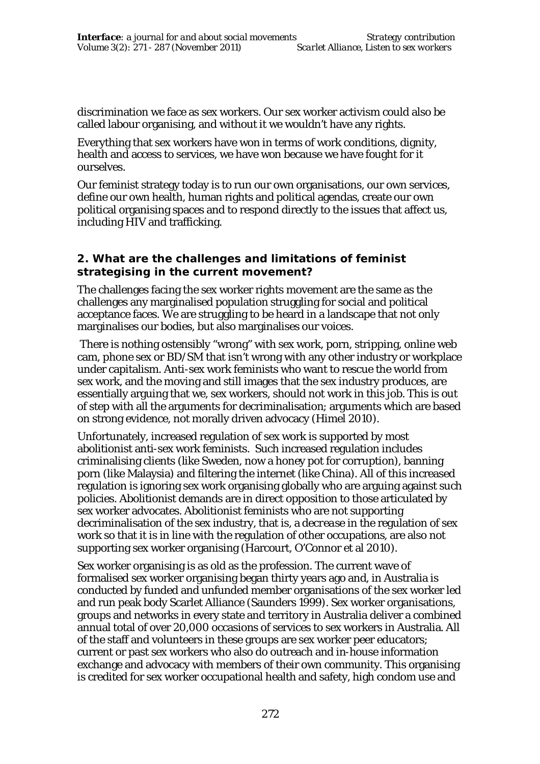discrimination we face as sex workers. Our sex worker activism could also be called labour organising, and without it we wouldn't have any rights.

Everything that sex workers have won in terms of work conditions, dignity, health and access to services, we have won because we have fought for it ourselves.

Our feminist strategy today is to run our own organisations, our own services, define our own health, human rights and political agendas, create our own political organising spaces and to respond directly to the issues that affect us, including HIV and trafficking.

## **2. What are the challenges and limitations of feminist strategising in the current movement?**

The challenges facing the sex worker rights movement are the same as the challenges any marginalised population struggling for social and political acceptance faces. We are struggling to be heard in a landscape that not only marginalises our bodies, but also marginalises our voices.

 There is nothing ostensibly "wrong" with sex work, porn, stripping, online web cam, phone sex or BD/SM that isn't wrong with any other industry or workplace under capitalism. Anti-sex work feminists who want to rescue the world from sex work, and the moving and still images that the sex industry produces, are essentially arguing that we, sex workers, should not work in this job. This is out of step with all the arguments for decriminalisation; arguments which are based on strong evidence, not morally driven advocacy (Himel 2010).

Unfortunately, increased regulation of sex work is supported by most abolitionist anti-sex work feminists. Such increased regulation includes criminalising clients (like Sweden, now a honey pot for corruption), banning porn (like Malaysia) and filtering the internet (like China). All of this increased regulation is ignoring sex work organising globally who are arguing against such policies. Abolitionist demands are in direct opposition to those articulated by sex worker advocates. Abolitionist feminists who are not supporting decriminalisation of the sex industry, that is, a *decrease* in the regulation of sex work so that it is in line with the regulation of other occupations, are also not supporting sex worker organising (Harcourt, O'Connor et al 2010).

Sex worker organising is as old as the profession. The current wave of formalised sex worker organising began thirty years ago and, in Australia is conducted by funded and unfunded member organisations of the sex worker led and run peak body Scarlet Alliance (Saunders 1999). Sex worker organisations, groups and networks in every state and territory in Australia deliver a combined annual total of over 20,000 occasions of services to sex workers in Australia. All of the staff and volunteers in these groups are sex worker peer educators; current or past sex workers who also do outreach and in-house information exchange and advocacy with members of their own community. This organising is credited for sex worker occupational health and safety, high condom use and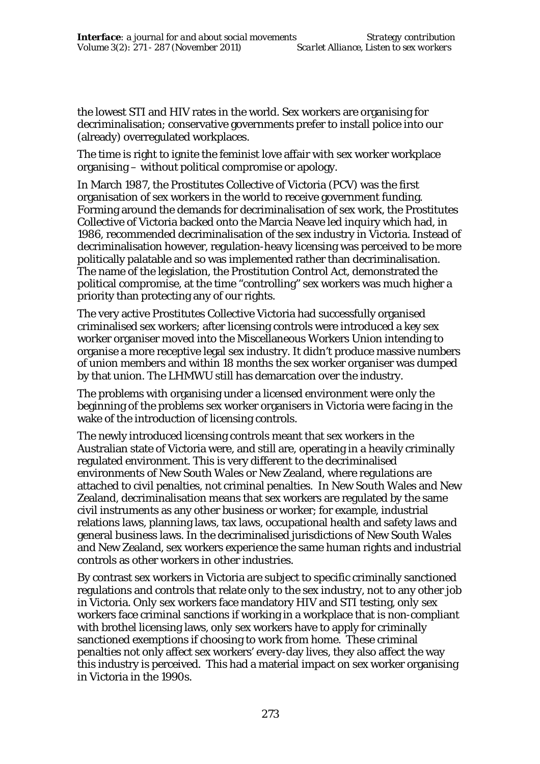the lowest STI and HIV rates in the world. Sex workers are organising for decriminalisation; conservative governments prefer to install police into our (already) overregulated workplaces.

The time is right to ignite the feminist love affair with sex worker workplace organising – without political compromise or apology.

In March 1987, the Prostitutes Collective of Victoria (PCV) was the first organisation of sex workers in the world to receive government funding. Forming around the demands for decriminalisation of sex work, the Prostitutes Collective of Victoria backed onto the Marcia Neave led inquiry which had, in 1986, recommended decriminalisation of the sex industry in Victoria. Instead of decriminalisation however, regulation-heavy licensing was perceived to be more politically palatable and so was implemented rather than decriminalisation. The name of the legislation, the Prostitution Control Act, demonstrated the political compromise, at the time "controlling" sex workers was much higher a priority than protecting any of our rights.

The very active Prostitutes Collective Victoria had successfully organised criminalised sex workers; after licensing controls were introduced a key sex worker organiser moved into the Miscellaneous Workers Union intending to organise a more receptive legal sex industry. It didn't produce massive numbers of union members and within 18 months the sex worker organiser was dumped by that union. The LHMWU still has demarcation over the industry.

The problems with organising under a licensed environment were only the beginning of the problems sex worker organisers in Victoria were facing in the wake of the introduction of licensing controls.

The newly introduced licensing controls meant that sex workers in the Australian state of Victoria were, and still are, operating in a heavily criminally regulated environment. This is very different to the decriminalised environments of New South Wales or New Zealand, where regulations are attached to civil penalties, not criminal penalties. In New South Wales and New Zealand, decriminalisation means that sex workers are regulated by the same civil instruments as any other business or worker; for example, industrial relations laws, planning laws, tax laws, occupational health and safety laws and general business laws. In the decriminalised jurisdictions of New South Wales and New Zealand, sex workers experience the same human rights and industrial controls as other workers in other industries.

By contrast sex workers in Victoria are subject to specific criminally sanctioned regulations and controls that relate *only* to the sex industry, not to any other job in Victoria. *Only* sex workers face mandatory HIV and STI testing, *only* sex workers face criminal sanctions if working in a workplace that is non-compliant with brothel licensing laws, *only* sex workers have to apply for criminally sanctioned exemptions if choosing to work from home. These criminal penalties not only affect sex workers' every-day lives, they also affect the way this industry is perceived. This had a material impact on sex worker organising in Victoria in the 1990s.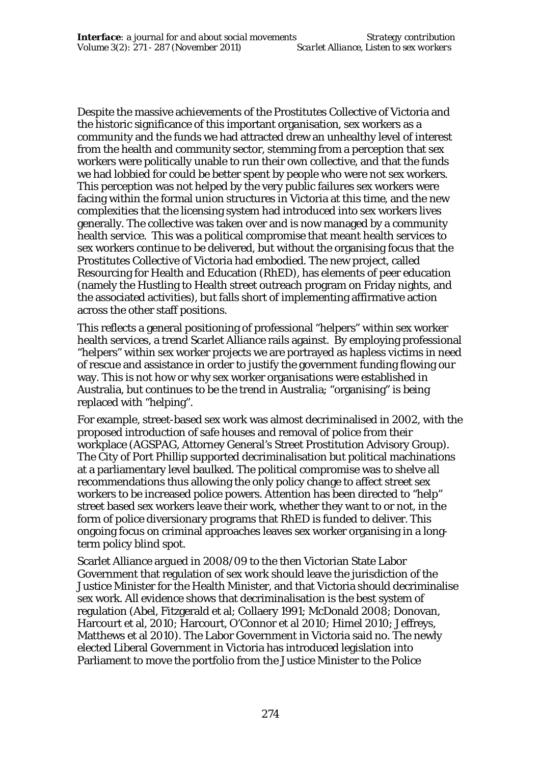Despite the massive achievements of the Prostitutes Collective of Victoria and the historic significance of this important organisation, sex workers as a community and the funds we had attracted drew an unhealthy level of interest from the health and community sector, stemming from a perception that sex workers were politically unable to run their own collective, and that the funds we had lobbied for could be better spent by people who were not sex workers. This perception was not helped by the very public failures sex workers were facing within the formal union structures in Victoria at this time, and the new complexities that the licensing system had introduced into sex workers lives generally. The collective was taken over and is now managed by a community health service. This was a political compromise that meant health services to sex workers continue to be delivered, but without the organising focus that the Prostitutes Collective of Victoria had embodied. The new project, called Resourcing for Health and Education (RhED), has elements of peer education (namely the Hustling to Health street outreach program on Friday nights, and the associated activities), but falls short of implementing affirmative action across the other staff positions.

This reflects a general positioning of professional "helpers" within sex worker health services, a trend Scarlet Alliance rails against. By employing professional "helpers" within sex worker projects we are portrayed as hapless victims in need of rescue and assistance in order to justify the government funding flowing our way. This is not how or why sex worker organisations were established in Australia, but continues to be the trend in Australia; "organising" is being replaced with "helping".

For example, street-based sex work was almost decriminalised in 2002, with the proposed introduction of safe houses and removal of police from their workplace (AGSPAG, Attorney General's Street Prostitution Advisory Group). The City of Port Phillip supported decriminalisation but political machinations at a parliamentary level baulked. The political compromise was to shelve all recommendations thus allowing the only policy change to affect street sex workers to be increased police powers. Attention has been directed to "help" street based sex workers leave their work, whether they want to or not, in the form of police diversionary programs that RhED is funded to deliver. This ongoing focus on criminal approaches leaves sex worker organising in a longterm policy blind spot.

Scarlet Alliance argued in 2008/09 to the then Victorian State Labor Government that regulation of sex work should leave the jurisdiction of the Justice Minister for the Health Minister, and that Victoria should decriminalise sex work. All evidence shows that decriminalisation is the best system of regulation (Abel, Fitzgerald et al; Collaery 1991; McDonald 2008; Donovan, Harcourt et al, 2010; Harcourt, O'Connor et al 2010; Himel 2010; Jeffreys, Matthews et al 2010). The Labor Government in Victoria said no. The newly elected Liberal Government in Victoria has introduced legislation into Parliament to move the portfolio from the Justice Minister to the Police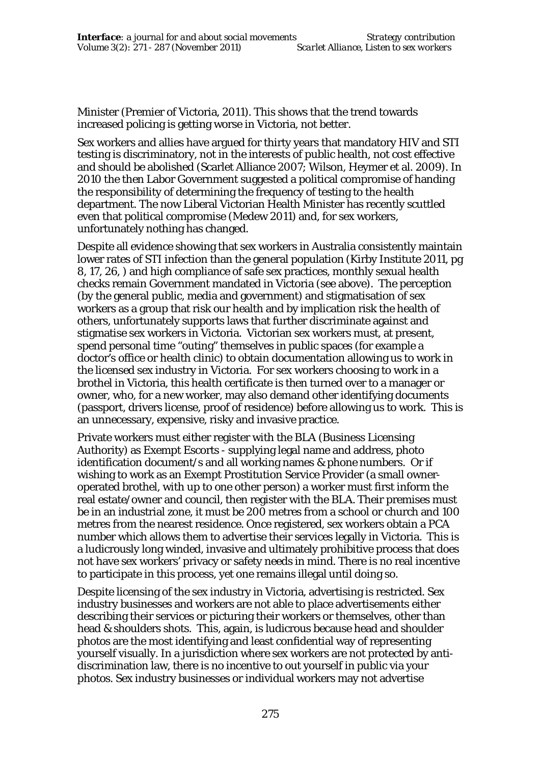Minister (Premier of Victoria, 2011). This shows that the trend towards increased policing is getting worse in Victoria, not better.

Sex workers and allies have argued for thirty years that mandatory HIV and STI testing is discriminatory, not in the interests of public health, not cost effective and should be abolished (Scarlet Alliance 2007; Wilson, Heymer et al. 2009). In 2010 the then Labor Government suggested a political compromise of handing the responsibility of determining the frequency of testing to the health department. The now Liberal Victorian Health Minister has recently scuttled even that political compromise (Medew 2011) and, for sex workers, unfortunately nothing has changed.

Despite all evidence showing that sex workers in Australia consistently maintain lower rates of STI infection than the general population (Kirby Institute 2011, pg 8, 17, 26, ) and high compliance of safe sex practices, monthly sexual health checks remain Government mandated in Victoria (see above). The perception (by the general public, media and government) and stigmatisation of sex workers as a group that risk our health and by implication risk the health of others, unfortunately supports laws that further discriminate against and stigmatise sex workers in Victoria. Victorian sex workers must, at present, spend personal time "outing" themselves in public spaces (for example a doctor's office or health clinic) to obtain documentation allowing us to work in the licensed sex industry in Victoria. For sex workers choosing to work in a brothel in Victoria, this health certificate is then turned over to a manager or owner, who, for a new worker, may also demand other identifying documents (passport, drivers license, proof of residence) before allowing us to work. This is an unnecessary, expensive, risky and invasive practice.

Private workers must either register with the BLA (Business Licensing Authority) as Exempt Escorts - supplying legal name and address, photo identification document/s and all working names & phone numbers. Or if wishing to work as an Exempt Prostitution Service Provider (a small owneroperated brothel, with up to one other person) a worker must first inform the real estate/owner and council, then register with the BLA. Their premises must be in an industrial zone, it must be 200 metres from a school or church and 100 metres from the nearest residence. Once registered, sex workers obtain a PCA number which allows them to advertise their services legally in Victoria. This is a ludicrously long winded, invasive and ultimately prohibitive process that does not have sex workers' privacy or safety needs in mind. There is no real incentive to participate in this process, yet one remains illegal until doing so.

Despite licensing of the sex industry in Victoria, advertising is restricted. Sex industry businesses and workers are not able to place advertisements either describing their services or picturing their workers or themselves, other than head & shoulders shots. This, again, is ludicrous because head and shoulder photos are the most identifying and least confidential way of representing yourself visually. In a jurisdiction where sex workers are not protected by antidiscrimination law, there is no incentive to out yourself in public via your photos. Sex industry businesses or individual workers may not advertise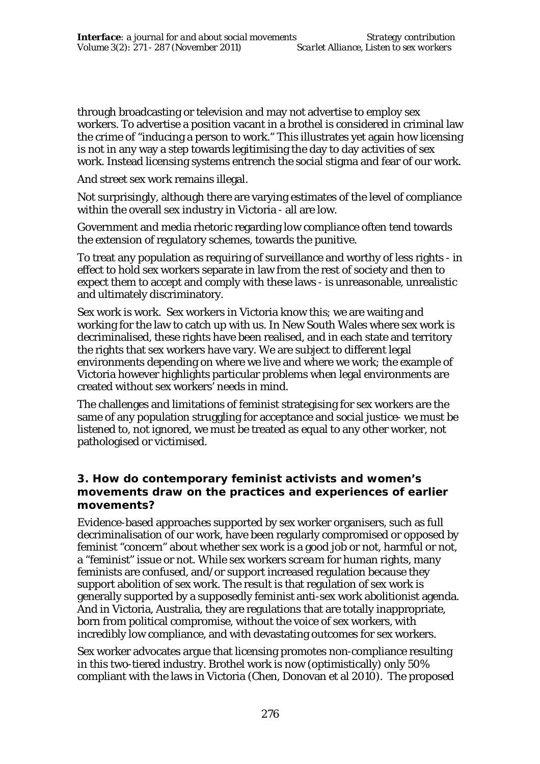through broadcasting or television and may not advertise to employ sex workers. To advertise a position vacant in a brothel is considered in criminal law the crime of "inducing a person to work." This illustrates yet again how licensing is not in any way a step towards legitimising the day to day activities of sex work. Instead licensing systems entrench the social stigma and fear of our work.

And street sex work remains illegal.

Not surprisingly, although there are varying estimates of the level of compliance within the overall sex industry in Victoria - all are low.

Government and media rhetoric regarding low compliance often tend towards the extension of regulatory schemes, towards the punitive.

To treat any population as requiring of surveillance and worthy of less rights - in effect to hold sex workers separate in law from the rest of society and then to expect them to accept and comply with these laws - is unreasonable, unrealistic and ultimately discriminatory.

Sex work is work. Sex workers in Victoria know this; we are waiting and working for the law to catch up with us. In New South Wales where sex work is decriminalised, these rights have been realised, and in each state and territory the rights that sex workers have vary. We are subject to different legal environments depending on where we live and where we work; the example of Victoria however highlights particular problems when legal environments are created without sex workers' needs in mind.

The challenges and limitations of feminist strategising for sex workers are the same of any population struggling for acceptance and social justice- we must be listened to, not ignored, we must be treated as equal to any other worker, not pathologised or victimised.

## **3. How do contemporary feminist activists and women's movements draw on the practices and experiences of earlier movements?**

Evidence-based approaches supported by sex worker organisers, such as full decriminalisation of our work, have been regularly compromised or opposed by feminist "concern" about whether sex work is a good job or not, harmful or not, a "feminist" issue or not. While sex workers *scream* for human rights, many feminists are confused, and/or support increased regulation because they support abolition of sex work. The result is that regulation of sex work is generally supported by a supposedly feminist anti-sex work abolitionist agenda. And in Victoria, Australia, they are regulations that are totally inappropriate, born from political compromise, without the voice of sex workers, with incredibly low compliance, and with devastating outcomes for sex workers.

Sex worker advocates argue that licensing promotes non-compliance resulting in this two-tiered industry. Brothel work is now (optimistically) only 50% compliant with the laws in Victoria (Chen, Donovan et al 2010). The proposed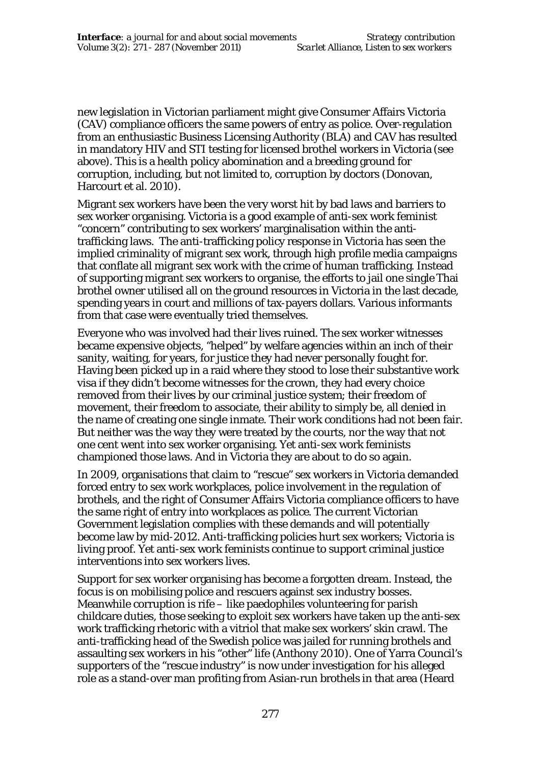new legislation in Victorian parliament might give Consumer Affairs Victoria (CAV) compliance officers the same powers of entry as police. Over-regulation from an enthusiastic Business Licensing Authority (BLA) and CAV has resulted in mandatory HIV and STI testing for licensed brothel workers in Victoria (see above). This is a health policy abomination and a breeding ground for corruption, including, but not limited to, corruption by doctors (Donovan, Harcourt et al. 2010).

Migrant sex workers have been the very worst hit by bad laws and barriers to sex worker organising. Victoria is a good example of anti-sex work feminist "concern" contributing to sex workers' marginalisation within the antitrafficking laws. The anti-trafficking policy response in Victoria has seen the implied criminality of migrant sex work, through high profile media campaigns that conflate all migrant sex work with the crime of human trafficking. Instead of supporting migrant sex workers to organise, the efforts to jail one single Thai brothel owner utilised all on the ground resources in Victoria in the last decade, spending years in court and millions of tax-payers dollars. Various informants from that case were eventually tried themselves.

Everyone who was involved had their lives ruined. The sex worker witnesses became expensive objects, "helped" by welfare agencies within an inch of their sanity, waiting, for years, for justice they had never personally fought for. Having been picked up in a raid where they stood to lose their substantive work visa if they didn't become witnesses for the crown, they had every choice removed from their lives by our criminal justice system; their freedom of movement, their freedom to associate, their ability to simply be, all denied in the name of creating one single inmate. Their work conditions had not been fair. But neither was the way they were treated by the courts, nor the way that not one cent went into sex worker organising. Yet anti-sex work feminists championed those laws. And in Victoria they are about to do so again.

In 2009, organisations that claim to "rescue" sex workers in Victoria demanded forced entry to sex work workplaces, police involvement in the regulation of brothels, and the right of Consumer Affairs Victoria compliance officers to have the same right of entry into workplaces as police. The current Victorian Government legislation complies with these demands and will potentially become law by mid-2012. Anti-trafficking policies hurt sex workers; Victoria is living proof. Yet anti-sex work feminists continue to support criminal justice interventions into sex workers lives.

Support for sex worker organising has become a forgotten dream. Instead, the focus is on mobilising police and rescuers against sex industry bosses. Meanwhile corruption is rife – like paedophiles volunteering for parish childcare duties, those seeking to exploit sex workers have taken up the anti-sex work trafficking rhetoric with a vitriol that make sex workers' skin crawl. The anti-trafficking head of the Swedish police was jailed for running brothels and assaulting sex workers in his "other" life (Anthony 2010). One of Yarra Council's supporters of the "rescue industry" is now under investigation for his alleged role as a stand-over man profiting from Asian-run brothels in that area (Heard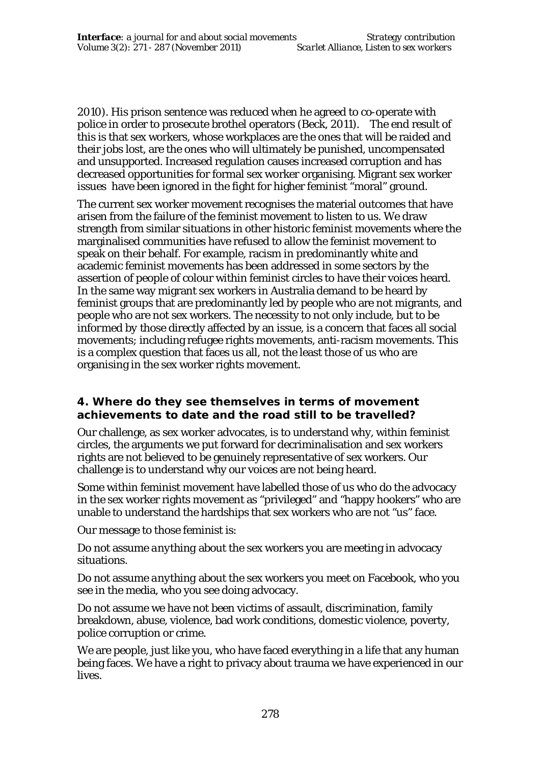2010). His prison sentence was reduced when he agreed to co-operate with police in order to prosecute brothel operators (Beck, 2011). The end result of this is that sex workers, whose workplaces are the ones that will be raided and their jobs lost, are the ones who will ultimately be punished, uncompensated and unsupported. Increased regulation causes increased corruption and has decreased opportunities for formal sex worker organising. Migrant sex worker issues have been ignored in the fight for higher feminist "moral" ground.

The current sex worker movement recognises the material outcomes that have arisen from the failure of the feminist movement to listen to us. We draw strength from similar situations in other historic feminist movements where the marginalised communities have refused to allow the feminist movement to speak on their behalf. For example, racism in predominantly white and academic feminist movements has been addressed in some sectors by the assertion of people of colour within feminist circles to have their voices heard. In the same way migrant sex workers in Australia demand to be heard by feminist groups that are predominantly led by people who are not migrants, and people who are not sex workers. The necessity to not only include, but to be *informed by* those directly affected by an issue, is a concern that faces all social movements; including refugee rights movements, anti-racism movements. This is a complex question that faces us all, not the least those of us who are organising in the sex worker rights movement.

#### **4. Where do they see themselves in terms of movement achievements to date and the road still to be travelled?**

Our challenge, as sex worker advocates, is to understand why, within feminist circles, the arguments we put forward for decriminalisation and sex workers rights are not *believed* to be genuinely representative of sex workers. Our challenge is to understand why our voices are not being heard.

Some within feminist movement have labelled those of us who do the advocacy in the sex worker rights movement as "privileged" and "happy hookers" who are unable to understand the hardships that sex workers who are not "us" face.

Our message to those feminist is:

Do not assume *anything* about the sex workers you are meeting in advocacy situations.

Do not assume *anything* about the sex workers you meet on Facebook, who you see in the media, who you see doing advocacy.

Do not assume we have not been victims of assault, discrimination, family breakdown, abuse, violence, bad work conditions, domestic violence, poverty, police corruption or crime.

We are people, just like you, who have faced everything in a life that any human being faces. We have a right to privacy about trauma we have experienced in our lives.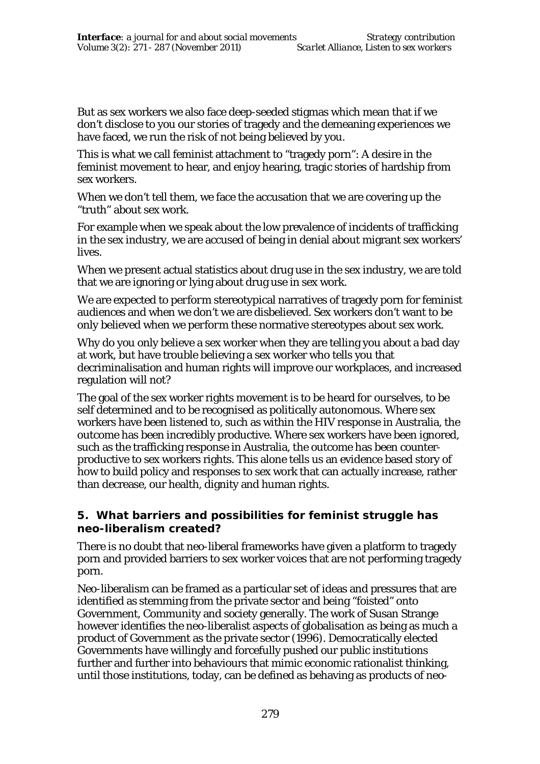But as sex workers we also face deep-seeded stigmas which mean that if we don't disclose to you our stories of tragedy and the demeaning experiences we have faced, we run the risk of not being believed by you.

This is what we call feminist attachment to "tragedy porn": A desire in the feminist movement to hear, and enjoy hearing, tragic stories of hardship from sex workers.

When we don't tell them, we face the accusation that we are covering up the "truth" about sex work.

For example when we speak about the low prevalence of incidents of trafficking in the sex industry, we are accused of being in denial about migrant sex workers' lives.

When we present actual statistics about drug use in the sex industry, we are told that we are ignoring or lying about drug use in sex work.

We are expected to *perform* stereotypical narratives of tragedy porn for feminist audiences and when we don't we are disbelieved. Sex workers don't want to be only believed when we *perform* these normative stereotypes about sex work.

Why do you only believe a sex worker when they are telling you about a *bad* day at work, but have trouble believing a sex worker who tells you that decriminalisation and human rights will improve our workplaces, and increased regulation will not?

The goal of the sex worker rights movement is to be heard *for ourselves,* to be self determined and to be recognised as politically autonomous. Where sex workers have been listened to, such as within the HIV response in Australia, the outcome has been incredibly productive. Where sex workers have been ignored, such as the trafficking response in Australia, the outcome has been counterproductive to sex workers rights. This alone tells us an evidence based story of how to build policy and responses to sex work that can actually increase, rather than decrease, our health, dignity and human rights.

#### **5. What barriers and possibilities for feminist struggle has neo-liberalism created?**

There is no doubt that neo-liberal frameworks have given a platform to tragedy porn and provided barriers to sex worker voices that are not performing tragedy porn.

Neo-liberalism can be framed as a particular set of ideas and pressures that are identified as stemming from the private sector and being "foisted" onto Government, Community and society generally. The work of Susan Strange however identifies the neo-liberalist aspects of globalisation as being as much a product of Government as the private sector (1996). Democratically elected Governments have willingly and forcefully pushed our public institutions further and further into behaviours that mimic economic rationalist thinking, until those institutions, today, can be defined as behaving as products of neo-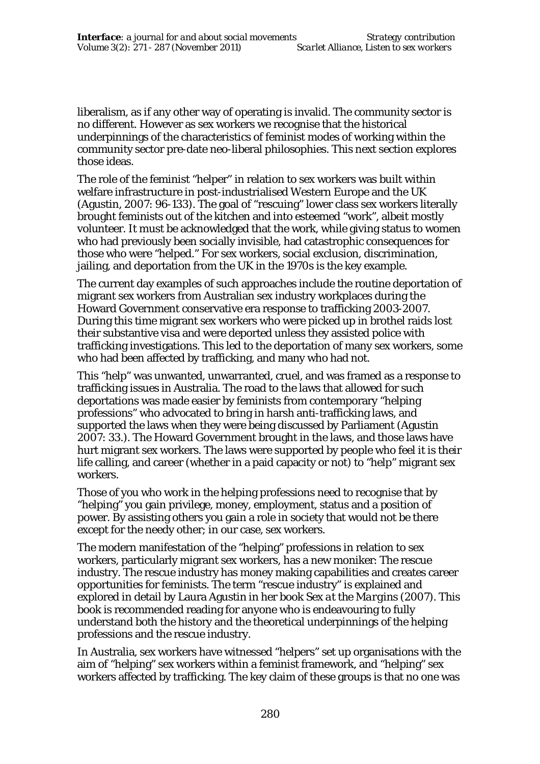liberalism, as if any other way of operating is invalid. The community sector is no different. However as sex workers we recognise that the historical underpinnings of the characteristics of feminist modes of working within the community sector pre-date neo-liberal philosophies. This next section explores those ideas.

The role of the feminist "helper" in relation to sex workers was built within welfare infrastructure in post-industrialised Western Europe and the UK (Agustin, 2007: 96-133). The goal of "rescuing" lower class sex workers literally brought feminists out of the kitchen and into esteemed "work", albeit mostly volunteer. It must be acknowledged that the work, while giving status to women who had previously been socially invisible, had catastrophic consequences for those who were "helped." For sex workers, social exclusion, discrimination, jailing, and deportation from the UK in the 1970s is the key example.

The current day examples of such approaches include the routine deportation of migrant sex workers from Australian sex industry workplaces during the Howard Government conservative era response to trafficking 2003-2007. During this time migrant sex workers who were picked up in brothel raids lost their substantive visa and were deported unless they assisted police with trafficking investigations. This led to the deportation of many sex workers, some who had been affected by trafficking, and many who had not.

This "help" was unwanted, unwarranted, cruel, and was framed as a response to trafficking issues in Australia. The road to the laws that allowed for such deportations was made easier by feminists from contemporary "helping professions" who advocated to bring in harsh anti-trafficking laws, and supported the laws when they were being discussed by Parliament (Agustin 2007: 33.). The Howard Government brought in the laws, and those laws have hurt migrant sex workers. The laws were supported by people who feel it is their life calling, and career (whether in a paid capacity or not) to "help" migrant sex workers.

Those of you who work in the helping professions need to recognise that by "helping" you gain privilege, money, employment, status and a position of power. By assisting others you gain a role in society that would not be there except for the needy other; in our case, sex workers.

The modern manifestation of the "helping" professions in relation to sex workers, particularly migrant sex workers, has a new moniker: The rescue industry. The rescue industry has money making capabilities and creates career opportunities for feminists. The term "rescue industry" is explained and explored in detail by Laura Agustin in her book *Sex at the Margins* (2007). This book is recommended reading for anyone who is endeavouring to fully understand both the history and the theoretical underpinnings of the helping professions and the rescue industry.

In Australia, sex workers have witnessed "helpers" set up organisations with the aim of "helping" sex workers within a feminist framework, and "helping" sex workers affected by trafficking. The key claim of these groups is that no one was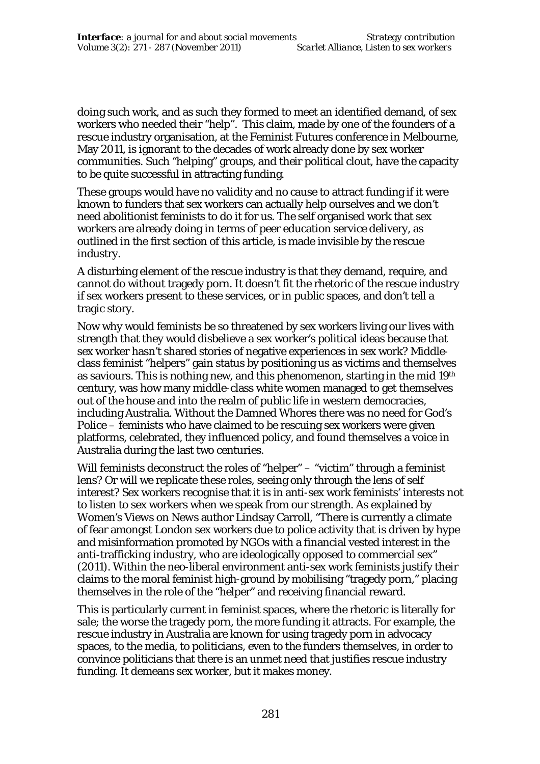doing such work, and as such they formed to meet an identified demand, of sex workers who needed their "help". This claim, made by one of the founders of a rescue industry organisation, at the Feminist Futures conference in Melbourne, May 2011, is ignorant to the decades of work already done by sex worker communities. Such "helping" groups, and their political clout, have the capacity to be quite successful in attracting funding.

These groups would have no validity and no cause to attract funding if it were known to funders that sex workers can actually help ourselves and we don't need abolitionist feminists to do it for us. The self organised work that sex workers are already doing in terms of peer education service delivery, as outlined in the first section of this article, is made invisible by the rescue industry.

A disturbing element of the rescue industry is that they demand, require, and cannot do without tragedy porn. It doesn't fit the rhetoric of the rescue industry if sex workers present to these services, or in public spaces, and *don't* tell a tragic story.

Now why would feminists be so threatened by sex workers living our lives with strength that they would *disbelieve* a sex worker's political ideas because that sex worker hasn't shared stories of negative experiences in sex work? Middleclass feminist "helpers" gain status by positioning us as victims and themselves as saviours. This is nothing new, and this phenomenon, starting in the mid 19th century, was how many middle-class white women managed to get themselves out of the house and into the realm of public life in western democracies, including Australia. Without the Damned Whores there was no need for God's Police – feminists who have claimed to be rescuing sex workers were given platforms, celebrated, they influenced policy, and found themselves a voice in Australia during the last two centuries.

Will feminists deconstruct the roles of "helper" – "victim" through a feminist lens? Or will we replicate these roles, seeing only through the lens of self interest? Sex workers recognise that it is in anti-sex work feminists' interests not to listen to sex workers when we speak from our strength. As explained by *Women's Views on News* author Lindsay Carroll, "There is currently a climate of fear amongst London sex workers due to police activity that is driven by hype and misinformation promoted by NGOs with a financial vested interest in the anti-trafficking industry, who are ideologically opposed to commercial sex" (2011). Within the neo-liberal environment anti-sex work feminists justify their claims to the moral feminist high-ground by mobilising "tragedy porn," placing themselves in the role of the "helper" and receiving financial reward.

This is particularly current in feminist spaces, where the rhetoric is literally for sale; the worse the tragedy porn, the more funding it attracts. For example, the rescue industry in Australia are known for using tragedy porn in advocacy spaces, to the media, to politicians, even to the funders themselves, in order to convince politicians that there is an unmet need that justifies rescue industry funding. It demeans sex worker, but it makes money.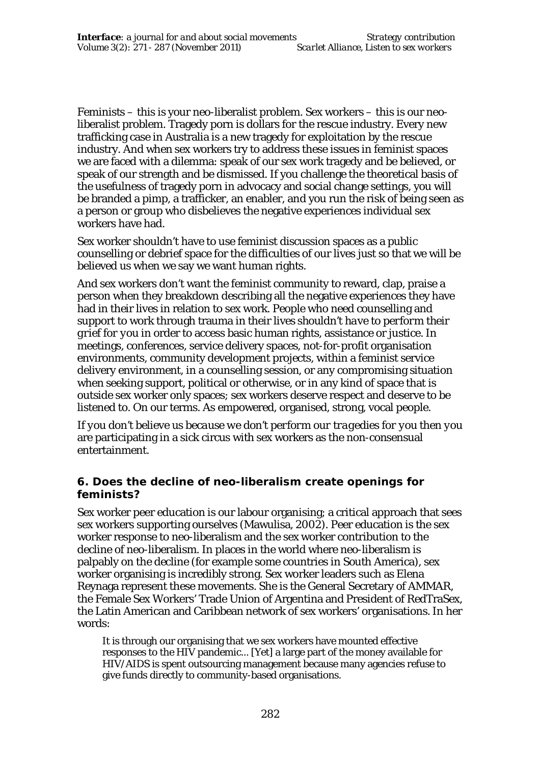Feminists – this is your neo-liberalist problem. Sex workers – this is our neoliberalist problem. Tragedy porn is dollars for the rescue industry. Every new trafficking case in Australia is a new tragedy for exploitation by the rescue industry. And when sex workers try to address these issues in feminist spaces we are faced with a dilemma: speak of our sex work tragedy and be believed, or speak of our strength and be dismissed. If you challenge the theoretical basis of the usefulness of tragedy porn in advocacy and social change settings, you will be branded a pimp, a trafficker, an enabler, and you run the risk of being seen as a person or group who disbelieves the negative experiences individual sex workers have had.

Sex worker shouldn't have to use feminist discussion spaces as a public counselling or debrief space for the difficulties of our lives just so that we will be believed us when we say we want human rights.

And sex workers don't want the feminist community to reward, clap, praise a person when they breakdown describing all the negative experiences they have had in their lives in relation to sex work. People who need counselling and support to work through trauma in their lives *shouldn't have to perform their grief for you* in order to access basic human rights, assistance or justice. In meetings, conferences, service delivery spaces, not-for-profit organisation environments, community development projects, within a feminist service delivery environment, in a counselling session, or any compromising situation when seeking support, political or otherwise, or in any kind of space that is outside sex worker only spaces; sex workers deserve respect and deserve to be listened to. On our terms. As empowered, organised, strong, vocal people.

*If you don't believe us because we don't perform our tragedies for you* then *you* are participating in a sick circus with sex workers as the non-consensual entertainment.

#### **6. Does the decline of neo-liberalism create openings for feminists?**

Sex worker peer education is our labour organising; a critical approach that sees sex workers supporting ourselves (Mawulisa, 2002). Peer education is the sex worker response to neo-liberalism and the sex worker contribution to the decline of neo-liberalism. In places in the world where neo-liberalism is palpably on the decline (for example some countries in South America), sex worker organising is incredibly strong. Sex worker leaders such as Elena Reynaga represent these movements. She is the General Secretary of AMMAR, the Female Sex Workers' Trade Union of Argentina and President of RedTraSex, the Latin American and Caribbean network of sex workers' organisations. In her words:

It is through our organising that we sex workers have mounted effective responses to the HIV pandemic... [Yet] a large part of the money available for HIV/AIDS is spent outsourcing management because many agencies refuse to give funds directly to community-based organisations.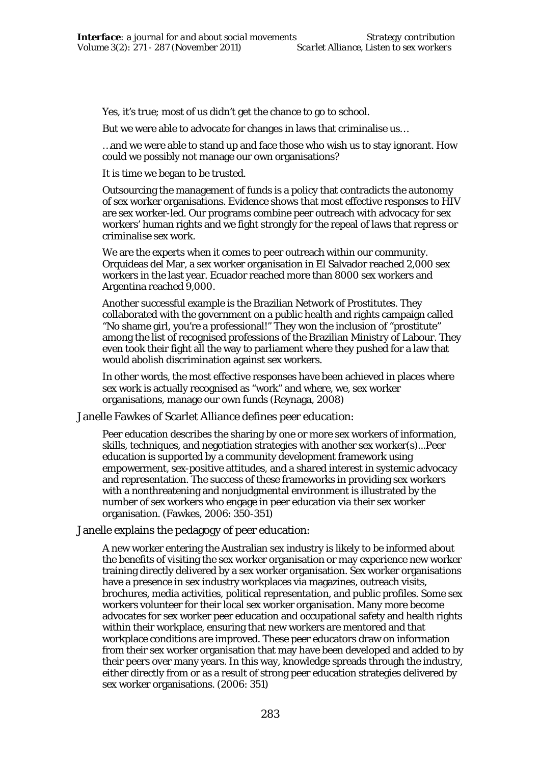Yes, it's true; most of us didn't get the chance to go to school.

But we were able to advocate for changes in laws that criminalise us…

…and we were able to stand up and face those who wish us to stay ignorant. How could we possibly not manage our own organisations?

It is time we began to be trusted.

Outsourcing the management of funds is a policy that contradicts the autonomy of sex worker organisations. Evidence shows that most effective responses to HIV are sex worker-led. Our programs combine peer outreach with advocacy for sex workers' human rights and we fight strongly for the repeal of laws that repress or criminalise sex work.

We are the experts when it comes to peer outreach within our community. Orquideas del Mar, a sex worker organisation in El Salvador reached 2,000 sex workers in the last year. Ecuador reached more than 8000 sex workers and Argentina reached 9,000.

Another successful example is the Brazilian Network of Prostitutes. They collaborated with the government on a public health and rights campaign called "No shame girl, you're a professional!" They won the inclusion of "prostitute" among the list of recognised professions of the Brazilian Ministry of Labour. They even took their fight all the way to parliament where they pushed for a law that would abolish discrimination against sex workers.

In other words, the most effective responses have been achieved in places where sex work is actually recognised as "work" and where, we, sex worker organisations, manage our own funds (Reynaga, 2008)

Janelle Fawkes of Scarlet Alliance defines peer education:

Peer education describes the sharing by one or more sex workers of information, skills, techniques, and negotiation strategies with another sex worker(s)...Peer education is supported by a community development framework using empowerment, sex-positive attitudes, and a shared interest in systemic advocacy and representation. The success of these frameworks in providing sex workers with a nonthreatening and nonjudgmental environment is illustrated by the number of sex workers who engage in peer education via their sex worker organisation. (Fawkes, 2006: 350-351)

Janelle explains the pedagogy of peer education:

A new worker entering the Australian sex industry is likely to be informed about the benefits of visiting the sex worker organisation or may experience new worker training directly delivered by a sex worker organisation. Sex worker organisations have a presence in sex industry workplaces via magazines, outreach visits, brochures, media activities, political representation, and public profiles. Some sex workers volunteer for their local sex worker organisation. Many more become advocates for sex worker peer education and occupational safety and health rights within their workplace, ensuring that new workers are mentored and that workplace conditions are improved. These peer educators draw on information from their sex worker organisation that may have been developed and added to by their peers over many years. In this way, knowledge spreads through the industry, either directly from or as a result of strong peer education strategies delivered by sex worker organisations. (2006: 351)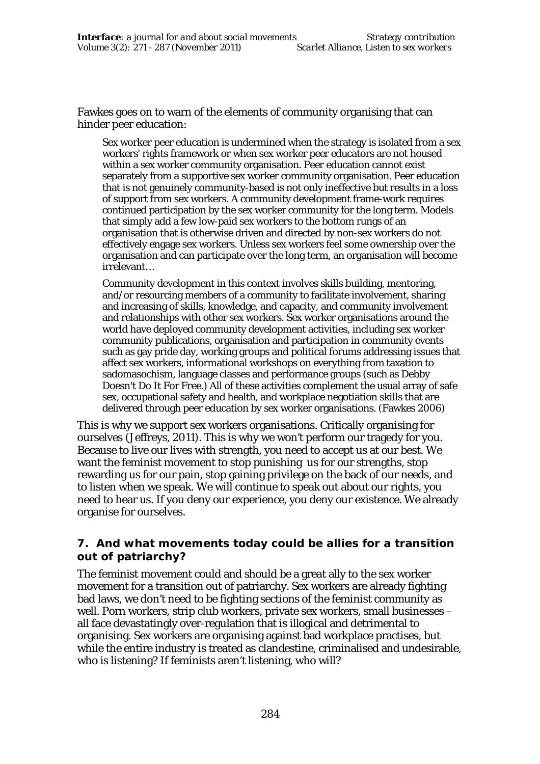Fawkes goes on to warn of the elements of community organising that can hinder peer education:

Sex worker peer education is undermined when the strategy is isolated from a sex workers' rights framework or when sex worker peer educators are not housed within a sex worker community organisation. Peer education cannot exist separately from a supportive sex worker community organisation. Peer education that is not genuinely community-based is not only ineffective but results in a loss of support from sex workers. A community development frame-work requires continued participation by the sex worker community for the long term. Models that simply add a few low-paid sex workers to the bottom rungs of an organisation that is otherwise driven and directed by non-sex workers do not effectively engage sex workers. Unless sex workers feel some ownership over the organisation and can participate over the long term, an organisation will become irrelevant…

Community development in this context involves skills building, mentoring, and/or resourcing members of a community to facilitate involvement, sharing and increasing of skills, knowledge, and capacity, and community involvement and relationships with other sex workers. Sex worker organisations around the world have deployed community development activities, including sex worker community publications, organisation and participation in community events such as gay pride day, working groups and political forums addressing issues that affect sex workers, informational workshops on everything from taxation to sadomasochism, language classes and performance groups (such as Debby Doesn't Do It For Free.) All of these activities complement the usual array of safe sex, occupational safety and health, and workplace negotiation skills that are delivered through peer education by sex worker organisations. (Fawkes 2006)

This is why we support sex workers organisations. Critically organising for ourselves (Jeffreys, 2011). This is why we won't perform our tragedy for you. Because to live our lives with strength, you need to accept us at our best. We want the feminist movement to stop punishing us for our strengths, stop rewarding us for our pain, stop gaining privilege on the back of our needs, and to listen when we speak. We will continue to speak out about our rights, you need to hear us. If you deny our experience, you deny our existence. We already organise for ourselves.

## **7. And what movements today could be allies for a transition out of patriarchy?**

The feminist movement could and should be a great ally to the sex worker movement for a transition out of patriarchy. Sex workers are already fighting bad laws, we don't need to be fighting sections of the feminist community as well. Porn workers, strip club workers, private sex workers, small businesses – all face devastatingly over-regulation that is illogical and detrimental to organising. Sex workers are organising against bad workplace practises, but while the entire industry is treated as clandestine, criminalised and undesirable, who is listening? If feminists aren't listening, who will?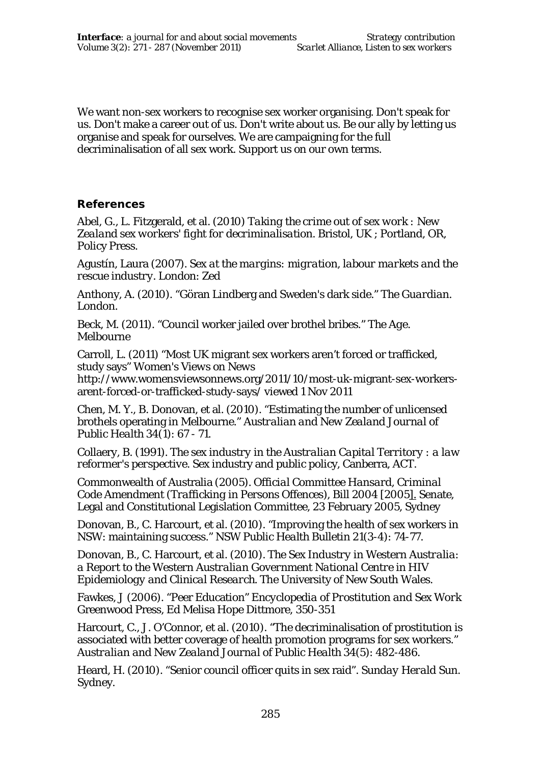We want non-sex workers to recognise sex worker organising. Don't speak for us. Don't make a career out of us. Don't write about us. Be our ally by letting us organise and speak for ourselves. We are campaigning for the full decriminalisation of all sex work. Support us on our own terms.

#### **References**

Abel, G., L. Fitzgerald, et al. (2010) *Taking the crime out of sex work : New Zealand sex workers' fight for decriminalisation*. Bristol, UK ; Portland, OR, Policy Press.

Agustín, Laura (2007). *Sex at the margins: migration, labour markets and the rescue industry.* London: Zed

Anthony, A. (2010). "Göran Lindberg and Sweden's dark side." *The Guardian*. London.

Beck, M. (2011). "Council worker jailed over brothel bribes." *The Age*. **Melbourne** 

Carroll, L. (2011) "Most UK migrant sex workers aren't forced or trafficked, study says" *Women's Views on News*

http://www.womensviewsonnews.org/2011/10/most-uk-migrant-sex-workersarent-forced-or-trafficked-study-says/ viewed 1 Nov 2011

Chen, M. Y., B. Donovan, et al. (2010). "Estimating the number of unlicensed brothels operating in Melbourne." *Australian and New Zealand Journal of Public Health* 34(1): 67 - 71.

Collaery, B. (1991). *The sex industry in the Australian Capital Territory : a law reformer's perspective*. Sex industry and public policy, Canberra, ACT.

Commonwealth of Australia (2005). *Official Committee Hansard, Criminal Code Amendment (Trafficking in Persons Offences), Bill 2004 [2005*]. Senate, Legal and Constitutional Legislation Committee, 23 February 2005, Sydney

Donovan, B., C. Harcourt, et al. (2010). "Improving the health of sex workers in NSW: maintaining success." *NSW Public Health Bulletin* 21(3-4): 74-77.

Donovan, B., C. Harcourt, et al. (2010). *The Sex Industry in Western Australia: a Report to the Western Australian Government National Centre in HIV Epidemiology and Clinical Research*. The University of New South Wales.

Fawkes, J (2006). "Peer Education" *Encyclopedia of Prostitution and Sex Work* Greenwood Press, Ed Melisa Hope Dittmore, 350-351

Harcourt, C., J. O'Connor, et al. (2010). "The decriminalisation of prostitution is associated with better coverage of health promotion programs for sex workers." *Australian and New Zealand Journal of Public Health* 34(5): 482-486.

Heard, H. (2010). "Senior council officer quits in sex raid". *Sunday Herald Sun*. Sydney.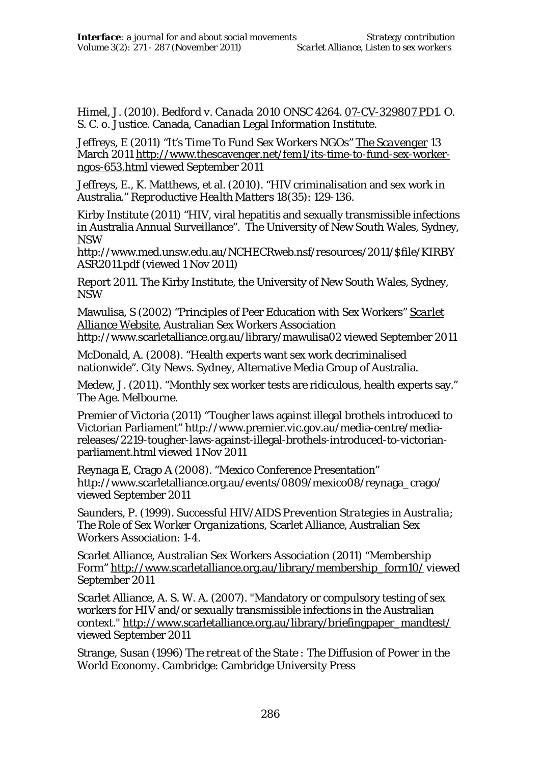Himel, J. (2010). *Bedford v. Canada 2010 ONSC 4264*. 07-CV-329807 PD1. O. S. C. o. Justice. Canada, Canadian Legal Information Institute.

Jeffreys, E (2011) "It's Time To Fund Sex Workers NGOs" *The Scavenger* 13 March 2011 http://www.thescavenger.net/fem1/its-time-to-fund-sex-workerngos-653.html viewed September 2011

Jeffreys, E., K. Matthews, et al. (2010). "HIV criminalisation and sex work in Australia." *Reproductive Health Matters* 18(35): 129-136.

Kirby Institute (2011) "HIV, viral hepatitis and sexually transmissible infections in Australia Annual Surveillance". The University of New South Wales, Sydney, NSW

http://www.med.unsw.edu.au/NCHECRweb.nsf/resources/2011/\$file/KIRBY\_ ASR2011.pdf (viewed 1 Nov 2011)

Report 2011. The Kirby Institute, the University of New South Wales, Sydney, NSW

Mawulisa, S (2002) "Principles of Peer Education with Sex Workers" *Scarlet Alliance Website*, Australian Sex Workers Association http://www.scarletalliance.org.au/library/mawulisa02 viewed September 2011

McDonald, A. (2008). "Health experts want sex work decriminalised nationwide". *City News*. Sydney, Alternative Media Group of Australia.

Medew, J. (2011). "Monthly sex worker tests are ridiculous, health experts say." *The Age*. Melbourne.

Premier of Victoria (2011) "Tougher laws against illegal brothels introduced to Victorian Parliament" http://www.premier.vic.gov.au/media-centre/mediareleases/2219-tougher-laws-against-illegal-brothels-introduced-to-victorianparliament.html viewed 1 Nov 2011

Reynaga E, Crago A (2008). "Mexico Conference Presentation" http://www.scarletalliance.org.au/events/0809/mexico08/reynaga\_crago/ viewed September 2011

Saunders, P. (1999). *Successful HIV/AIDS Prevention Strategies in Australia; The Role of Sex Worker Organizations*, Scarlet Alliance, Australian Sex Workers Association: 1-4.

Scarlet Alliance, Australian Sex Workers Association (2011) "Membership Form" http://www.scarletalliance.org.au/library/membership\_form10/ viewed September 2011

Scarlet Alliance, A. S. W. A. (2007). "Mandatory or compulsory testing of sex workers for HIV and/or sexually transmissible infections in the Australian context." http://www.scarletalliance.org.au/library/briefingpaper\_mandtest/ viewed September 2011

Strange, Susan (1996) *The retreat of the State : The Diffusion of Power in the World Economy.* Cambridge: Cambridge University Press